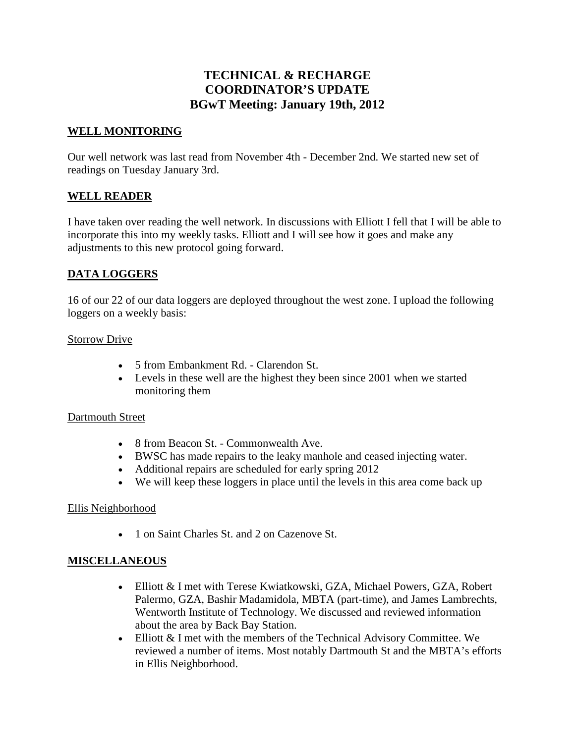# **TECHNICAL & RECHARGE COORDINATOR'S UPDATE BGwT Meeting: January 19th, 2012**

### **WELL MONITORING**

Our well network was last read from November 4th - December 2nd. We started new set of readings on Tuesday January 3rd.

## **WELL READER**

I have taken over reading the well network. In discussions with Elliott I fell that I will be able to incorporate this into my weekly tasks. Elliott and I will see how it goes and make any adjustments to this new protocol going forward.

## **DATA LOGGERS**

16 of our 22 of our data loggers are deployed throughout the west zone. I upload the following loggers on a weekly basis:

#### Storrow Drive

- 5 from Embankment Rd. Clarendon St.
- Levels in these well are the highest they been since 2001 when we started monitoring them

#### Dartmouth Street

- 8 from Beacon St. Commonwealth Ave.
- BWSC has made repairs to the leaky manhole and ceased injecting water.
- Additional repairs are scheduled for early spring 2012
- We will keep these loggers in place until the levels in this area come back up

#### Ellis Neighborhood

• 1 on Saint Charles St. and 2 on Cazenove St.

#### **MISCELLANEOUS**

- Elliott & I met with Terese Kwiatkowski, GZA, Michael Powers, GZA, Robert Palermo, GZA, Bashir Madamidola, MBTA (part-time), and James Lambrechts, Wentworth Institute of Technology. We discussed and reviewed information about the area by Back Bay Station.
- Elliott & I met with the members of the Technical Advisory Committee. We reviewed a number of items. Most notably Dartmouth St and the MBTA's efforts in Ellis Neighborhood.